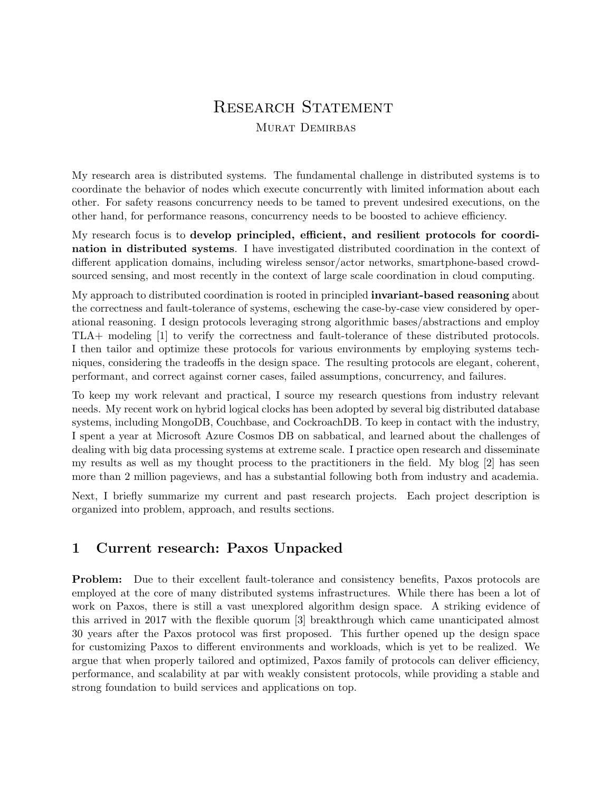# RESEARCH STATEMENT MURAT DEMIRBAS

My research area is distributed systems. The fundamental challenge in distributed systems is to coordinate the behavior of nodes which execute concurrently with limited information about each other. For safety reasons concurrency needs to be tamed to prevent undesired executions, on the other hand, for performance reasons, concurrency needs to be boosted to achieve efficiency.

My research focus is to develop principled, efficient, and resilient protocols for coordination in distributed systems. I have investigated distributed coordination in the context of different application domains, including wireless sensor/actor networks, smartphone-based crowdsourced sensing, and most recently in the context of large scale coordination in cloud computing.

My approach to distributed coordination is rooted in principled invariant-based reasoning about the correctness and fault-tolerance of systems, eschewing the case-by-case view considered by operational reasoning. I design protocols leveraging strong algorithmic bases/abstractions and employ TLA+ modeling [1] to verify the correctness and fault-tolerance of these distributed protocols. I then tailor and optimize these protocols for various environments by employing systems techniques, considering the tradeoffs in the design space. The resulting protocols are elegant, coherent, performant, and correct against corner cases, failed assumptions, concurrency, and failures.

To keep my work relevant and practical, I source my research questions from industry relevant needs. My recent work on hybrid logical clocks has been adopted by several big distributed database systems, including MongoDB, Couchbase, and CockroachDB. To keep in contact with the industry, I spent a year at Microsoft Azure Cosmos DB on sabbatical, and learned about the challenges of dealing with big data processing systems at extreme scale. I practice open research and disseminate my results as well as my thought process to the practitioners in the field. My blog [2] has seen more than 2 million pageviews, and has a substantial following both from industry and academia.

Next, I briefly summarize my current and past research projects. Each project description is organized into problem, approach, and results sections.

#### 1 Current research: Paxos Unpacked

Problem: Due to their excellent fault-tolerance and consistency benefits, Paxos protocols are employed at the core of many distributed systems infrastructures. While there has been a lot of work on Paxos, there is still a vast unexplored algorithm design space. A striking evidence of this arrived in 2017 with the flexible quorum [3] breakthrough which came unanticipated almost 30 years after the Paxos protocol was first proposed. This further opened up the design space for customizing Paxos to different environments and workloads, which is yet to be realized. We argue that when properly tailored and optimized, Paxos family of protocols can deliver efficiency, performance, and scalability at par with weakly consistent protocols, while providing a stable and strong foundation to build services and applications on top.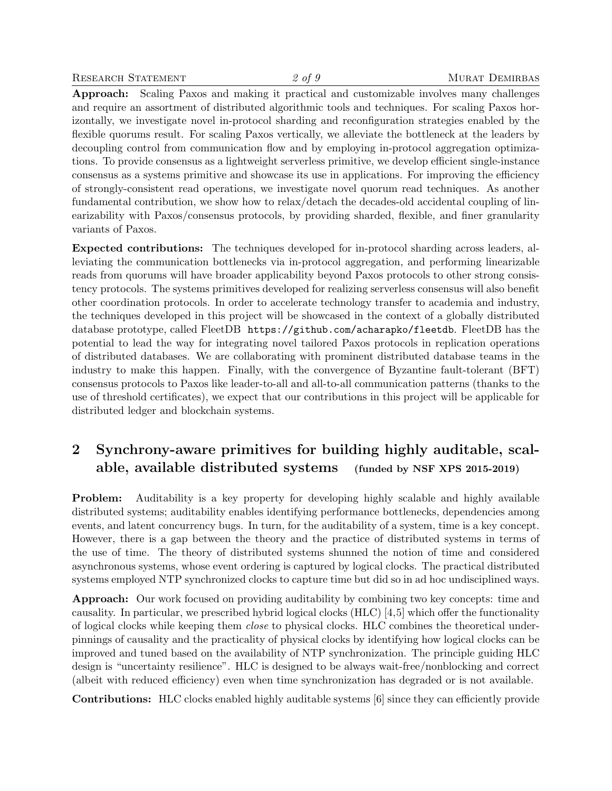Approach: Scaling Paxos and making it practical and customizable involves many challenges and require an assortment of distributed algorithmic tools and techniques. For scaling Paxos horizontally, we investigate novel in-protocol sharding and reconfiguration strategies enabled by the flexible quorums result. For scaling Paxos vertically, we alleviate the bottleneck at the leaders by decoupling control from communication flow and by employing in-protocol aggregation optimizations. To provide consensus as a lightweight serverless primitive, we develop efficient single-instance consensus as a systems primitive and showcase its use in applications. For improving the efficiency of strongly-consistent read operations, we investigate novel quorum read techniques. As another fundamental contribution, we show how to relax/detach the decades-old accidental coupling of linearizability with Paxos/consensus protocols, by providing sharded, flexible, and finer granularity variants of Paxos.

Expected contributions: The techniques developed for in-protocol sharding across leaders, alleviating the communication bottlenecks via in-protocol aggregation, and performing linearizable reads from quorums will have broader applicability beyond Paxos protocols to other strong consistency protocols. The systems primitives developed for realizing serverless consensus will also benefit other coordination protocols. In order to accelerate technology transfer to academia and industry, the techniques developed in this project will be showcased in the context of a globally distributed database prototype, called FleetDB https://github.com/acharapko/fleetdb. FleetDB has the potential to lead the way for integrating novel tailored Paxos protocols in replication operations of distributed databases. We are collaborating with prominent distributed database teams in the industry to make this happen. Finally, with the convergence of Byzantine fault-tolerant (BFT) consensus protocols to Paxos like leader-to-all and all-to-all communication patterns (thanks to the use of threshold certificates), we expect that our contributions in this project will be applicable for distributed ledger and blockchain systems.

## 2 Synchrony-aware primitives for building highly auditable, scalable, available distributed systems (funded by NSF XPS 2015-2019)

Problem: Auditability is a key property for developing highly scalable and highly available distributed systems; auditability enables identifying performance bottlenecks, dependencies among events, and latent concurrency bugs. In turn, for the auditability of a system, time is a key concept. However, there is a gap between the theory and the practice of distributed systems in terms of the use of time. The theory of distributed systems shunned the notion of time and considered asynchronous systems, whose event ordering is captured by logical clocks. The practical distributed systems employed NTP synchronized clocks to capture time but did so in ad hoc undisciplined ways.

Approach: Our work focused on providing auditability by combining two key concepts: time and causality. In particular, we prescribed hybrid logical clocks (HLC) [4,5] which offer the functionality of logical clocks while keeping them close to physical clocks. HLC combines the theoretical underpinnings of causality and the practicality of physical clocks by identifying how logical clocks can be improved and tuned based on the availability of NTP synchronization. The principle guiding HLC design is "uncertainty resilience". HLC is designed to be always wait-free/nonblocking and correct (albeit with reduced efficiency) even when time synchronization has degraded or is not available.

Contributions: HLC clocks enabled highly auditable systems [6] since they can efficiently provide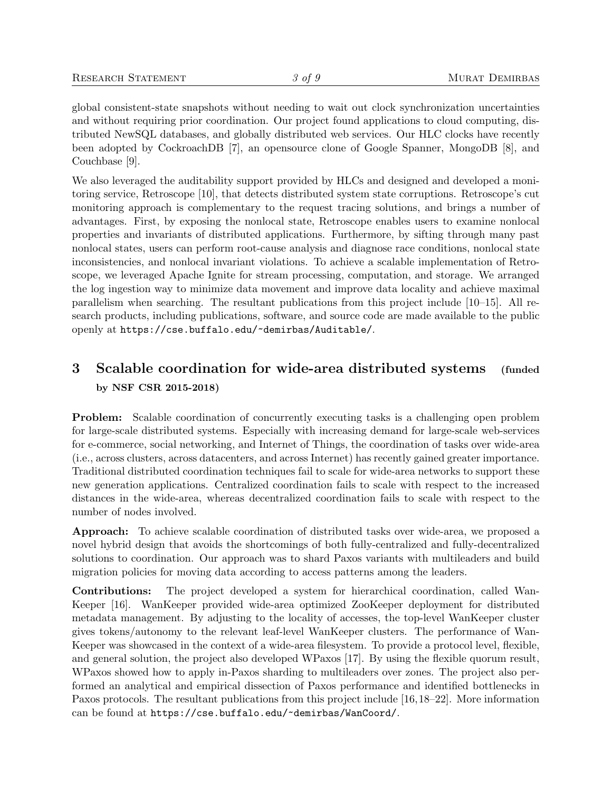global consistent-state snapshots without needing to wait out clock synchronization uncertainties and without requiring prior coordination. Our project found applications to cloud computing, distributed NewSQL databases, and globally distributed web services. Our HLC clocks have recently been adopted by CockroachDB [7], an opensource clone of Google Spanner, MongoDB [8], and Couchbase [9].

We also leveraged the auditability support provided by HLCs and designed and developed a monitoring service, Retroscope [10], that detects distributed system state corruptions. Retroscope's cut monitoring approach is complementary to the request tracing solutions, and brings a number of advantages. First, by exposing the nonlocal state, Retroscope enables users to examine nonlocal properties and invariants of distributed applications. Furthermore, by sifting through many past nonlocal states, users can perform root-cause analysis and diagnose race conditions, nonlocal state inconsistencies, and nonlocal invariant violations. To achieve a scalable implementation of Retroscope, we leveraged Apache Ignite for stream processing, computation, and storage. We arranged the log ingestion way to minimize data movement and improve data locality and achieve maximal parallelism when searching. The resultant publications from this project include [10–15]. All research products, including publications, software, and source code are made available to the public openly at https://cse.buffalo.edu/~demirbas/Auditable/.

### 3 Scalable coordination for wide-area distributed systems (funded by NSF CSR 2015-2018)

Problem: Scalable coordination of concurrently executing tasks is a challenging open problem for large-scale distributed systems. Especially with increasing demand for large-scale web-services for e-commerce, social networking, and Internet of Things, the coordination of tasks over wide-area (i.e., across clusters, across datacenters, and across Internet) has recently gained greater importance. Traditional distributed coordination techniques fail to scale for wide-area networks to support these new generation applications. Centralized coordination fails to scale with respect to the increased distances in the wide-area, whereas decentralized coordination fails to scale with respect to the number of nodes involved.

Approach: To achieve scalable coordination of distributed tasks over wide-area, we proposed a novel hybrid design that avoids the shortcomings of both fully-centralized and fully-decentralized solutions to coordination. Our approach was to shard Paxos variants with multileaders and build migration policies for moving data according to access patterns among the leaders.

Contributions: The project developed a system for hierarchical coordination, called Wan-Keeper [16]. WanKeeper provided wide-area optimized ZooKeeper deployment for distributed metadata management. By adjusting to the locality of accesses, the top-level WanKeeper cluster gives tokens/autonomy to the relevant leaf-level WanKeeper clusters. The performance of Wan-Keeper was showcased in the context of a wide-area filesystem. To provide a protocol level, flexible, and general solution, the project also developed WPaxos [17]. By using the flexible quorum result, WPaxos showed how to apply in-Paxos sharding to multileaders over zones. The project also performed an analytical and empirical dissection of Paxos performance and identified bottlenecks in Paxos protocols. The resultant publications from this project include [16,18–22]. More information can be found at https://cse.buffalo.edu/~demirbas/WanCoord/.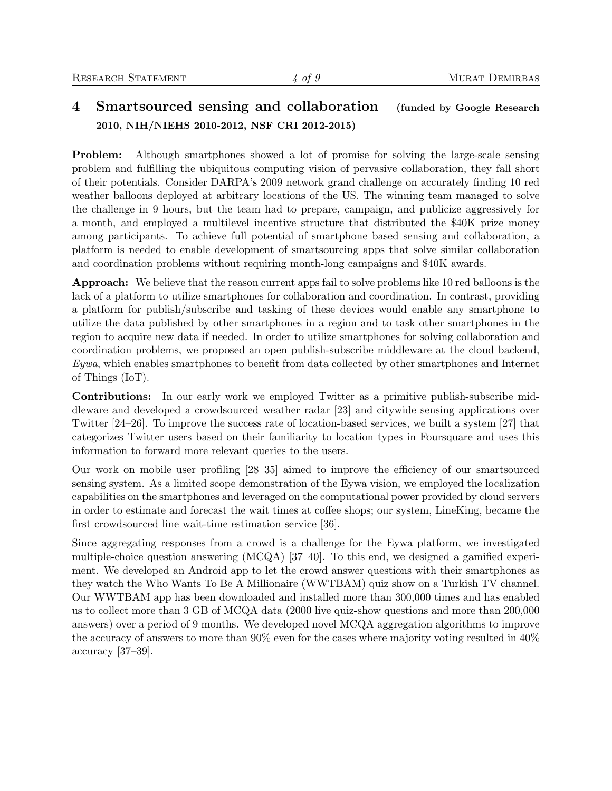### 4 Smartsourced sensing and collaboration (funded by Google Research 2010, NIH/NIEHS 2010-2012, NSF CRI 2012-2015)

Problem: Although smartphones showed a lot of promise for solving the large-scale sensing problem and fulfilling the ubiquitous computing vision of pervasive collaboration, they fall short of their potentials. Consider DARPA's 2009 network grand challenge on accurately finding 10 red weather balloons deployed at arbitrary locations of the US. The winning team managed to solve the challenge in 9 hours, but the team had to prepare, campaign, and publicize aggressively for a month, and employed a multilevel incentive structure that distributed the \$40K prize money among participants. To achieve full potential of smartphone based sensing and collaboration, a platform is needed to enable development of smartsourcing apps that solve similar collaboration and coordination problems without requiring month-long campaigns and \$40K awards.

Approach: We believe that the reason current apps fail to solve problems like 10 red balloons is the lack of a platform to utilize smartphones for collaboration and coordination. In contrast, providing a platform for publish/subscribe and tasking of these devices would enable any smartphone to utilize the data published by other smartphones in a region and to task other smartphones in the region to acquire new data if needed. In order to utilize smartphones for solving collaboration and coordination problems, we proposed an open publish-subscribe middleware at the cloud backend, Eywa, which enables smartphones to benefit from data collected by other smartphones and Internet of Things (IoT).

Contributions: In our early work we employed Twitter as a primitive publish-subscribe middleware and developed a crowdsourced weather radar [23] and citywide sensing applications over Twitter [24–26]. To improve the success rate of location-based services, we built a system [27] that categorizes Twitter users based on their familiarity to location types in Foursquare and uses this information to forward more relevant queries to the users.

Our work on mobile user profiling [28–35] aimed to improve the efficiency of our smartsourced sensing system. As a limited scope demonstration of the Eywa vision, we employed the localization capabilities on the smartphones and leveraged on the computational power provided by cloud servers in order to estimate and forecast the wait times at coffee shops; our system, LineKing, became the first crowdsourced line wait-time estimation service [36].

Since aggregating responses from a crowd is a challenge for the Eywa platform, we investigated multiple-choice question answering (MCQA) [37–40]. To this end, we designed a gamified experiment. We developed an Android app to let the crowd answer questions with their smartphones as they watch the Who Wants To Be A Millionaire (WWTBAM) quiz show on a Turkish TV channel. Our WWTBAM app has been downloaded and installed more than 300,000 times and has enabled us to collect more than 3 GB of MCQA data (2000 live quiz-show questions and more than 200,000 answers) over a period of 9 months. We developed novel MCQA aggregation algorithms to improve the accuracy of answers to more than 90% even for the cases where majority voting resulted in 40% accuracy [37–39].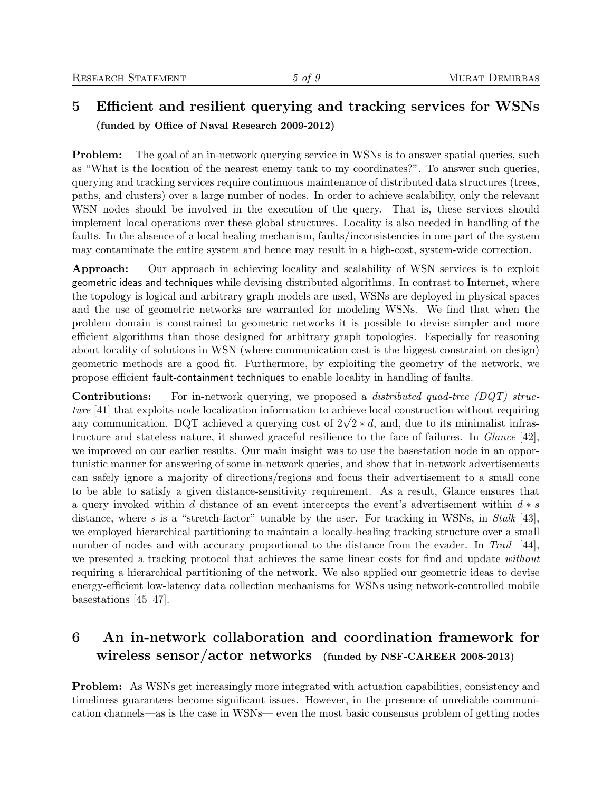#### 5 Efficient and resilient querying and tracking services for WSNs (funded by Office of Naval Research 2009-2012)

**Problem:** The goal of an in-network querying service in WSNs is to answer spatial queries, such as "What is the location of the nearest enemy tank to my coordinates?". To answer such queries, querying and tracking services require continuous maintenance of distributed data structures (trees, paths, and clusters) over a large number of nodes. In order to achieve scalability, only the relevant WSN nodes should be involved in the execution of the query. That is, these services should implement local operations over these global structures. Locality is also needed in handling of the faults. In the absence of a local healing mechanism, faults/inconsistencies in one part of the system may contaminate the entire system and hence may result in a high-cost, system-wide correction.

Approach: Our approach in achieving locality and scalability of WSN services is to exploit geometric ideas and techniques while devising distributed algorithms. In contrast to Internet, where the topology is logical and arbitrary graph models are used, WSNs are deployed in physical spaces and the use of geometric networks are warranted for modeling WSNs. We find that when the problem domain is constrained to geometric networks it is possible to devise simpler and more efficient algorithms than those designed for arbitrary graph topologies. Especially for reasoning about locality of solutions in WSN (where communication cost is the biggest constraint on design) geometric methods are a good fit. Furthermore, by exploiting the geometry of the network, we propose efficient fault-containment techniques to enable locality in handling of faults.

Contributions: For in-network querying, we proposed a *distributed quad-tree* (DQT) structure [41] that exploits node localization information to achieve local construction without requiring *ture* [41] that exploits node localization information to achieve local construction without requiring any communication. DQT achieved a querying cost of  $2\sqrt{2} * d$ , and, due to its minimalist infrastructure and stateless nature, it showed graceful resilience to the face of failures. In Glance [42], we improved on our earlier results. Our main insight was to use the basestation node in an opportunistic manner for answering of some in-network queries, and show that in-network advertisements can safely ignore a majority of directions/regions and focus their advertisement to a small cone to be able to satisfy a given distance-sensitivity requirement. As a result, Glance ensures that a query invoked within d distance of an event intercepts the event's advertisement within  $d * s$ distance, where s is a "stretch-factor" tunable by the user. For tracking in WSNs, in Stalk [43], we employed hierarchical partitioning to maintain a locally-healing tracking structure over a small number of nodes and with accuracy proportional to the distance from the evader. In Trail [44], we presented a tracking protocol that achieves the same linear costs for find and update without requiring a hierarchical partitioning of the network. We also applied our geometric ideas to devise energy-efficient low-latency data collection mechanisms for WSNs using network-controlled mobile basestations [45–47].

### 6 An in-network collaboration and coordination framework for wireless sensor/actor networks (funded by NSF-CAREER 2008-2013)

Problem: As WSNs get increasingly more integrated with actuation capabilities, consistency and timeliness guarantees become significant issues. However, in the presence of unreliable communication channels—as is the case in WSNs— even the most basic consensus problem of getting nodes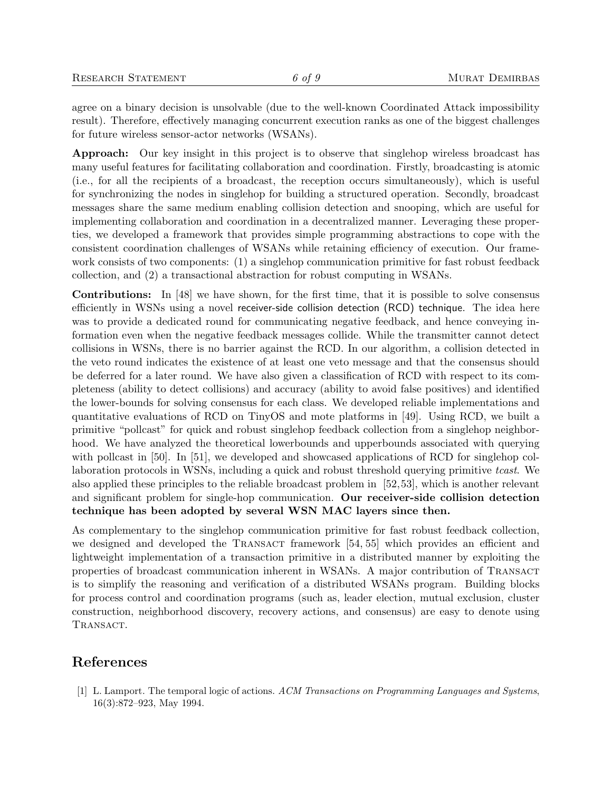agree on a binary decision is unsolvable (due to the well-known Coordinated Attack impossibility result). Therefore, effectively managing concurrent execution ranks as one of the biggest challenges for future wireless sensor-actor networks (WSANs).

Approach: Our key insight in this project is to observe that singlehop wireless broadcast has many useful features for facilitating collaboration and coordination. Firstly, broadcasting is atomic (i.e., for all the recipients of a broadcast, the reception occurs simultaneously), which is useful for synchronizing the nodes in singlehop for building a structured operation. Secondly, broadcast messages share the same medium enabling collision detection and snooping, which are useful for implementing collaboration and coordination in a decentralized manner. Leveraging these properties, we developed a framework that provides simple programming abstractions to cope with the consistent coordination challenges of WSANs while retaining efficiency of execution. Our framework consists of two components: (1) a singlehop communication primitive for fast robust feedback collection, and (2) a transactional abstraction for robust computing in WSANs.

Contributions: In [48] we have shown, for the first time, that it is possible to solve consensus efficiently in WSNs using a novel receiver-side collision detection (RCD) technique. The idea here was to provide a dedicated round for communicating negative feedback, and hence conveying information even when the negative feedback messages collide. While the transmitter cannot detect collisions in WSNs, there is no barrier against the RCD. In our algorithm, a collision detected in the veto round indicates the existence of at least one veto message and that the consensus should be deferred for a later round. We have also given a classification of RCD with respect to its completeness (ability to detect collisions) and accuracy (ability to avoid false positives) and identified the lower-bounds for solving consensus for each class. We developed reliable implementations and quantitative evaluations of RCD on TinyOS and mote platforms in [49]. Using RCD, we built a primitive "pollcast" for quick and robust singlehop feedback collection from a singlehop neighborhood. We have analyzed the theoretical lowerbounds and upperbounds associated with querying with pollcast in [50]. In [51], we developed and showcased applications of RCD for singlehop collaboration protocols in WSNs, including a quick and robust threshold querying primitive tcast. We also applied these principles to the reliable broadcast problem in [52,53], which is another relevant and significant problem for single-hop communication. Our receiver-side collision detection technique has been adopted by several WSN MAC layers since then.

As complementary to the singlehop communication primitive for fast robust feedback collection, we designed and developed the TRANSACT framework [54, 55] which provides an efficient and lightweight implementation of a transaction primitive in a distributed manner by exploiting the properties of broadcast communication inherent in WSANs. A major contribution of Transact is to simplify the reasoning and verification of a distributed WSANs program. Building blocks for process control and coordination programs (such as, leader election, mutual exclusion, cluster construction, neighborhood discovery, recovery actions, and consensus) are easy to denote using TRANSACT.

#### References

[1] L. Lamport. The temporal logic of actions. ACM Transactions on Programming Languages and Systems, 16(3):872–923, May 1994.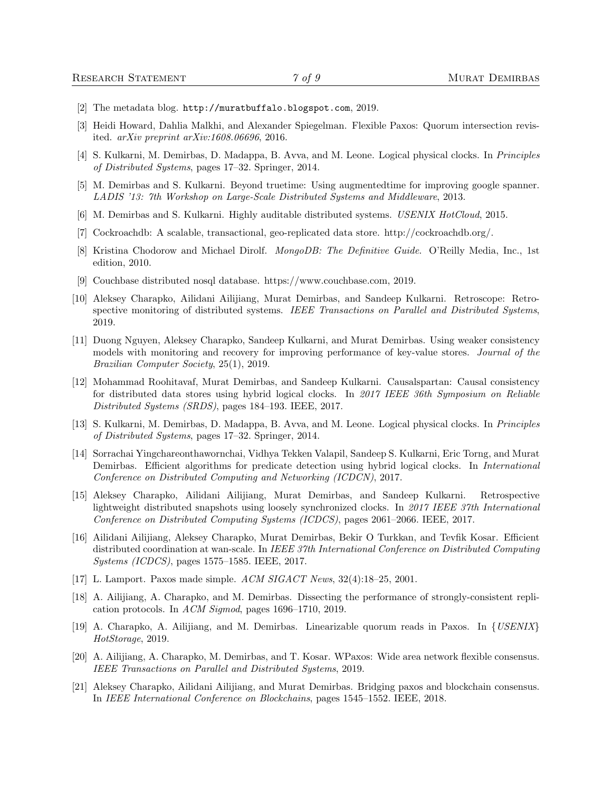- [2] The metadata blog. http://muratbuffalo.blogspot.com, 2019.
- [3] Heidi Howard, Dahlia Malkhi, and Alexander Spiegelman. Flexible Paxos: Quorum intersection revisited. arXiv preprint arXiv:1608.06696, 2016.
- [4] S. Kulkarni, M. Demirbas, D. Madappa, B. Avva, and M. Leone. Logical physical clocks. In Principles of Distributed Systems, pages 17–32. Springer, 2014.
- [5] M. Demirbas and S. Kulkarni. Beyond truetime: Using augmentedtime for improving google spanner. LADIS '13: 7th Workshop on Large-Scale Distributed Systems and Middleware, 2013.
- [6] M. Demirbas and S. Kulkarni. Highly auditable distributed systems. USENIX HotCloud, 2015.
- [7] Cockroachdb: A scalable, transactional, geo-replicated data store. http://cockroachdb.org/.
- [8] Kristina Chodorow and Michael Dirolf. *MongoDB: The Definitive Guide*. O'Reilly Media, Inc., 1st edition, 2010.
- [9] Couchbase distributed nosql database. https://www.couchbase.com, 2019.
- [10] Aleksey Charapko, Ailidani Ailijiang, Murat Demirbas, and Sandeep Kulkarni. Retroscope: Retrospective monitoring of distributed systems. IEEE Transactions on Parallel and Distributed Systems, 2019.
- [11] Duong Nguyen, Aleksey Charapko, Sandeep Kulkarni, and Murat Demirbas. Using weaker consistency models with monitoring and recovery for improving performance of key-value stores. Journal of the Brazilian Computer Society, 25(1), 2019.
- [12] Mohammad Roohitavaf, Murat Demirbas, and Sandeep Kulkarni. Causalspartan: Causal consistency for distributed data stores using hybrid logical clocks. In 2017 IEEE 36th Symposium on Reliable Distributed Systems (SRDS), pages 184–193. IEEE, 2017.
- [13] S. Kulkarni, M. Demirbas, D. Madappa, B. Avva, and M. Leone. Logical physical clocks. In Principles of Distributed Systems, pages 17–32. Springer, 2014.
- [14] Sorrachai Yingchareonthawornchai, Vidhya Tekken Valapil, Sandeep S. Kulkarni, Eric Torng, and Murat Demirbas. Efficient algorithms for predicate detection using hybrid logical clocks. In *International* Conference on Distributed Computing and Networking (ICDCN), 2017.
- [15] Aleksey Charapko, Ailidani Ailijiang, Murat Demirbas, and Sandeep Kulkarni. Retrospective lightweight distributed snapshots using loosely synchronized clocks. In 2017 IEEE 37th International Conference on Distributed Computing Systems (ICDCS), pages 2061–2066. IEEE, 2017.
- [16] Ailidani Ailijiang, Aleksey Charapko, Murat Demirbas, Bekir O Turkkan, and Tevfik Kosar. Efficient distributed coordination at wan-scale. In IEEE 37th International Conference on Distributed Computing Systems (ICDCS), pages 1575–1585. IEEE, 2017.
- [17] L. Lamport. Paxos made simple. ACM SIGACT News, 32(4):18–25, 2001.
- [18] A. Ailijiang, A. Charapko, and M. Demirbas. Dissecting the performance of strongly-consistent replication protocols. In ACM Sigmod, pages 1696–1710, 2019.
- [19] A. Charapko, A. Ailijiang, and M. Demirbas. Linearizable quorum reads in Paxos. In {USENIX} HotStorage, 2019.
- [20] A. Ailijiang, A. Charapko, M. Demirbas, and T. Kosar. WPaxos: Wide area network flexible consensus. IEEE Transactions on Parallel and Distributed Systems, 2019.
- [21] Aleksey Charapko, Ailidani Ailijiang, and Murat Demirbas. Bridging paxos and blockchain consensus. In IEEE International Conference on Blockchains, pages 1545–1552. IEEE, 2018.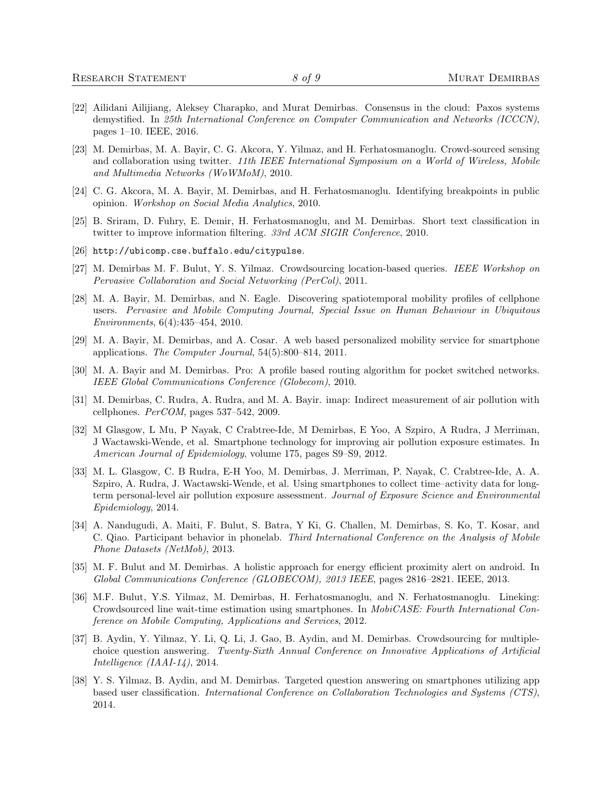- [22] Ailidani Ailijiang, Aleksey Charapko, and Murat Demirbas. Consensus in the cloud: Paxos systems demystified. In 25th International Conference on Computer Communication and Networks (ICCCN), pages 1–10. IEEE, 2016.
- [23] M. Demirbas, M. A. Bayir, C. G. Akcora, Y. Yilmaz, and H. Ferhatosmanoglu. Crowd-sourced sensing and collaboration using twitter. 11th IEEE International Symposium on a World of Wireless, Mobile and Multimedia Networks (WoWMoM), 2010.
- [24] C. G. Akcora, M. A. Bayir, M. Demirbas, and H. Ferhatosmanoglu. Identifying breakpoints in public opinion. Workshop on Social Media Analytics, 2010.
- [25] B. Sriram, D. Fuhry, E. Demir, H. Ferhatosmanoglu, and M. Demirbas. Short text classification in twitter to improve information filtering. 33rd ACM SIGIR Conference, 2010.
- [26] http://ubicomp.cse.buffalo.edu/citypulse.
- [27] M. Demirbas M. F. Bulut, Y. S. Yilmaz. Crowdsourcing location-based queries. IEEE Workshop on Pervasive Collaboration and Social Networking (PerCol), 2011.
- [28] M. A. Bayir, M. Demirbas, and N. Eagle. Discovering spatiotemporal mobility profiles of cellphone users. Pervasive and Mobile Computing Journal, Special Issue on Human Behaviour in Ubiquitous Environments, 6(4):435–454, 2010.
- [29] M. A. Bayir, M. Demirbas, and A. Cosar. A web based personalized mobility service for smartphone applications. The Computer Journal, 54(5):800–814, 2011.
- [30] M. A. Bayir and M. Demirbas. Pro: A profile based routing algorithm for pocket switched networks. IEEE Global Communications Conference (Globecom), 2010.
- [31] M. Demirbas, C. Rudra, A. Rudra, and M. A. Bayir. imap: Indirect measurement of air pollution with cellphones. PerCOM, pages 537–542, 2009.
- [32] M Glasgow, L Mu, P Nayak, C Crabtree-Ide, M Demirbas, E Yoo, A Szpiro, A Rudra, J Merriman, J Wactawski-Wende, et al. Smartphone technology for improving air pollution exposure estimates. In American Journal of Epidemiology, volume 175, pages S9–S9, 2012.
- [33] M. L. Glasgow, C. B Rudra, E-H Yoo, M. Demirbas, J. Merriman, P. Nayak, C. Crabtree-Ide, A. A. Szpiro, A. Rudra, J. Wactawski-Wende, et al. Using smartphones to collect time–activity data for longterm personal-level air pollution exposure assessment. Journal of Exposure Science and Environmental Epidemiology, 2014.
- [34] A. Nandugudi, A. Maiti, F. Bulut, S. Batra, Y Ki, G. Challen, M. Demirbas, S. Ko, T. Kosar, and C. Qiao. Participant behavior in phonelab. Third International Conference on the Analysis of Mobile Phone Datasets (NetMob), 2013.
- [35] M. F. Bulut and M. Demirbas. A holistic approach for energy efficient proximity alert on android. In Global Communications Conference (GLOBECOM), 2013 IEEE, pages 2816–2821. IEEE, 2013.
- [36] M.F. Bulut, Y.S. Yilmaz, M. Demirbas, H. Ferhatosmanoglu, and N. Ferhatosmanoglu. Lineking: Crowdsourced line wait-time estimation using smartphones. In MobiCASE: Fourth International Conference on Mobile Computing, Applications and Services, 2012.
- [37] B. Aydin, Y. Yilmaz, Y. Li, Q. Li, J. Gao, B. Aydin, and M. Demirbas. Crowdsourcing for multiplechoice question answering. Twenty-Sixth Annual Conference on Innovative Applications of Artificial Intelligence (IAAI-14), 2014.
- [38] Y. S. Yilmaz, B. Aydin, and M. Demirbas. Targeted question answering on smartphones utilizing app based user classification. International Conference on Collaboration Technologies and Systems (CTS), 2014.